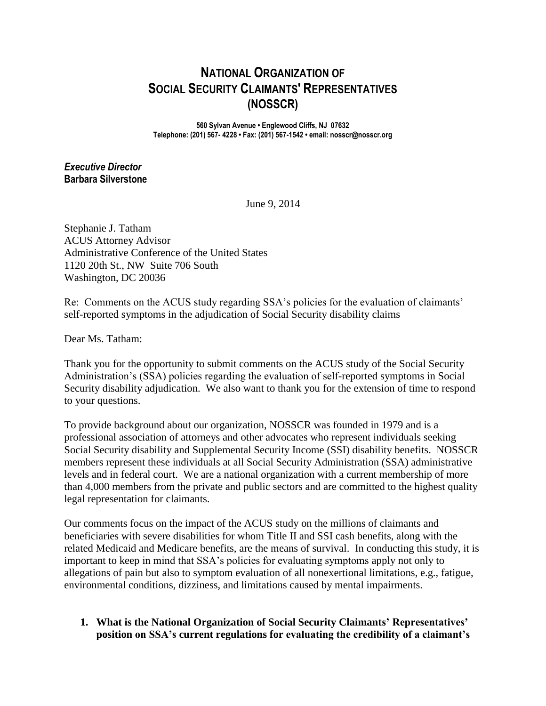# **NATIONAL ORGANIZATION OF SOCIAL SECURITY CLAIMANTS' REPRESENTATIVES (NOSSCR)**

**560 Sylvan Avenue • Englewood Cliffs, NJ 07632 Telephone: (201) 567- 4228 • Fax: (201) 567-1542 • email: nosscr@nosscr.org**

## *Executive Director* **Barbara Silverstone**

June 9, 2014

Stephanie J. Tatham ACUS Attorney Advisor Administrative Conference of the United States 1120 20th St., NW Suite 706 South Washington, DC 20036

Re: Comments on the ACUS study regarding SSA's policies for the evaluation of claimants' self-reported symptoms in the adjudication of Social Security disability claims

Dear Ms. Tatham:

Thank you for the opportunity to submit comments on the ACUS study of the Social Security Administration's (SSA) policies regarding the evaluation of self-reported symptoms in Social Security disability adjudication. We also want to thank you for the extension of time to respond to your questions.

To provide background about our organization, NOSSCR was founded in 1979 and is a professional association of attorneys and other advocates who represent individuals seeking Social Security disability and Supplemental Security Income (SSI) disability benefits. NOSSCR members represent these individuals at all Social Security Administration (SSA) administrative levels and in federal court. We are a national organization with a current membership of more than 4,000 members from the private and public sectors and are committed to the highest quality legal representation for claimants.

Our comments focus on the impact of the ACUS study on the millions of claimants and beneficiaries with severe disabilities for whom Title II and SSI cash benefits, along with the related Medicaid and Medicare benefits, are the means of survival. In conducting this study, it is important to keep in mind that SSA's policies for evaluating symptoms apply not only to allegations of pain but also to symptom evaluation of all nonexertional limitations, e.g., fatigue, environmental conditions, dizziness, and limitations caused by mental impairments.

## **1. What is the National Organization of Social Security Claimants' Representatives' position on SSA's current regulations for evaluating the credibility of a claimant's**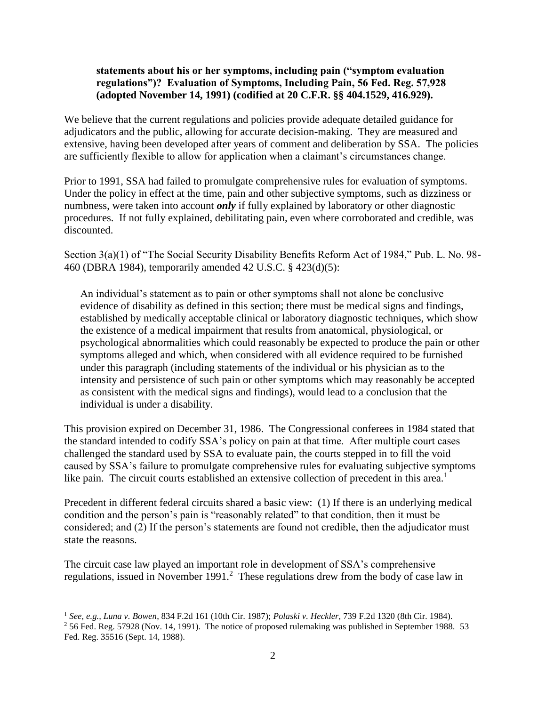#### **statements about his or her symptoms, including pain ("symptom evaluation regulations")? Evaluation of Symptoms, Including Pain, 56 Fed. Reg. 57,928 (adopted November 14, 1991) (codified at 20 C.F.R. §§ 404.1529, 416.929).**

We believe that the current regulations and policies provide adequate detailed guidance for adjudicators and the public, allowing for accurate decision-making. They are measured and extensive, having been developed after years of comment and deliberation by SSA. The policies are sufficiently flexible to allow for application when a claimant's circumstances change.

Prior to 1991, SSA had failed to promulgate comprehensive rules for evaluation of symptoms. Under the policy in effect at the time, pain and other subjective symptoms, such as dizziness or numbness, were taken into account *only* if fully explained by laboratory or other diagnostic procedures. If not fully explained, debilitating pain, even where corroborated and credible, was discounted.

Section 3(a)(1) of "The Social Security Disability Benefits Reform Act of 1984," Pub. L. No. 98- 460 (DBRA 1984), temporarily amended 42 U.S.C. § 423(d)(5):

An individual's statement as to pain or other symptoms shall not alone be conclusive evidence of disability as defined in this section; there must be medical signs and findings, established by medically acceptable clinical or laboratory diagnostic techniques, which show the existence of a medical impairment that results from anatomical, physiological, or psychological abnormalities which could reasonably be expected to produce the pain or other symptoms alleged and which, when considered with all evidence required to be furnished under this paragraph (including statements of the individual or his physician as to the intensity and persistence of such pain or other symptoms which may reasonably be accepted as consistent with the medical signs and findings), would lead to a conclusion that the individual is under a disability.

This provision expired on December 31, 1986. The Congressional conferees in 1984 stated that the standard intended to codify SSA's policy on pain at that time. After multiple court cases challenged the standard used by SSA to evaluate pain, the courts stepped in to fill the void caused by SSA's failure to promulgate comprehensive rules for evaluating subjective symptoms like pain. The circuit courts established an extensive collection of precedent in this area.<sup>1</sup>

Precedent in different federal circuits shared a basic view: (1) If there is an underlying medical condition and the person's pain is "reasonably related" to that condition, then it must be considered; and (2) If the person's statements are found not credible, then the adjudicator must state the reasons.

The circuit case law played an important role in development of SSA's comprehensive regulations, issued in November  $1991<sup>2</sup>$  These regulations drew from the body of case law in

<sup>1</sup> *See, e.g., Luna v. Bowen*, 834 F.2d 161 (10th Cir. 1987); *Polaski v. Heckler*, 739 F.2d 1320 (8th Cir. 1984).

 $2$  56 Fed. Reg. 57928 (Nov. 14, 1991). The notice of proposed rulemaking was published in September 1988. 53 Fed. Reg. 35516 (Sept. 14, 1988).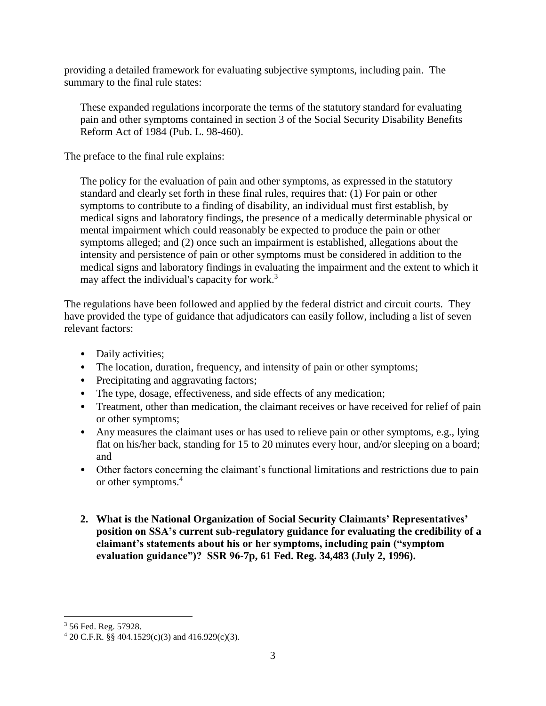providing a detailed framework for evaluating subjective symptoms, including pain. The summary to the final rule states:

These expanded regulations incorporate the terms of the statutory standard for evaluating pain and other symptoms contained in section 3 of the Social Security Disability Benefits Reform Act of 1984 (Pub. L. 98-460).

The preface to the final rule explains:

The policy for the evaluation of pain and other symptoms, as expressed in the statutory standard and clearly set forth in these final rules, requires that: (1) For pain or other symptoms to contribute to a finding of disability, an individual must first establish, by medical signs and laboratory findings, the presence of a medically determinable physical or mental impairment which could reasonably be expected to produce the pain or other symptoms alleged; and (2) once such an impairment is established, allegations about the intensity and persistence of pain or other symptoms must be considered in addition to the medical signs and laboratory findings in evaluating the impairment and the extent to which it may affect the individual's capacity for work. $3$ 

The regulations have been followed and applied by the federal district and circuit courts. They have provided the type of guidance that adjudicators can easily follow, including a list of seven relevant factors:

- Daily activities:
- The location, duration, frequency, and intensity of pain or other symptoms;
- Precipitating and aggravating factors;
- The type, dosage, effectiveness, and side effects of any medication;
- Treatment, other than medication, the claimant receives or have received for relief of pain or other symptoms;
- Any measures the claimant uses or has used to relieve pain or other symptoms, e.g., lying flat on his/her back, standing for 15 to 20 minutes every hour, and/or sleeping on a board; and
- Other factors concerning the claimant's functional limitations and restrictions due to pain or other symptoms. 4
- **2. What is the National Organization of Social Security Claimants' Representatives' position on SSA's current sub-regulatory guidance for evaluating the credibility of a claimant's statements about his or her symptoms, including pain ("symptom evaluation guidance")? SSR 96-7p, 61 Fed. Reg. 34,483 (July 2, 1996).**

<sup>3</sup> 56 Fed. Reg. 57928.

 $420$  C.F.R. §§ 404.1529(c)(3) and 416.929(c)(3).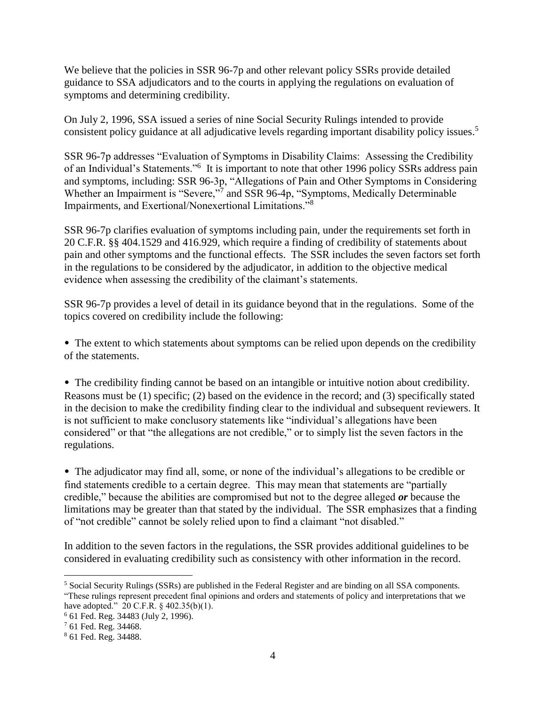We believe that the policies in SSR 96-7p and other relevant policy SSRs provide detailed guidance to SSA adjudicators and to the courts in applying the regulations on evaluation of symptoms and determining credibility.

On July 2, 1996, SSA issued a series of nine Social Security Rulings intended to provide consistent policy guidance at all adjudicative levels regarding important disability policy issues. 5

SSR 96-7p addresses "Evaluation of Symptoms in Disability Claims: Assessing the Credibility of an Individual's Statements."<sup>6</sup> It is important to note that other 1996 policy SSRs address pain and symptoms, including: SSR 96-3p, "Allegations of Pain and Other Symptoms in Considering Whether an Impairment is "Severe,"<sup>7</sup> and SSR 96-4p, "Symptoms, Medically Determinable Impairments, and Exertional/Nonexertional Limitations."<sup>8</sup>

SSR 96-7p clarifies evaluation of symptoms including pain, under the requirements set forth in 20 C.F.R. §§ 404.1529 and 416.929, which require a finding of credibility of statements about pain and other symptoms and the functional effects. The SSR includes the seven factors set forth in the regulations to be considered by the adjudicator, in addition to the objective medical evidence when assessing the credibility of the claimant's statements.

SSR 96-7p provides a level of detail in its guidance beyond that in the regulations. Some of the topics covered on credibility include the following:

• The extent to which statements about symptoms can be relied upon depends on the credibility of the statements.

• The credibility finding cannot be based on an intangible or intuitive notion about credibility. Reasons must be (1) specific; (2) based on the evidence in the record; and (3) specifically stated in the decision to make the credibility finding clear to the individual and subsequent reviewers. It is not sufficient to make conclusory statements like "individual's allegations have been considered" or that "the allegations are not credible," or to simply list the seven factors in the regulations.

• The adjudicator may find all, some, or none of the individual's allegations to be credible or find statements credible to a certain degree. This may mean that statements are "partially credible," because the abilities are compromised but not to the degree alleged *or* because the limitations may be greater than that stated by the individual. The SSR emphasizes that a finding of "not credible" cannot be solely relied upon to find a claimant "not disabled."

In addition to the seven factors in the regulations, the SSR provides additional guidelines to be considered in evaluating credibility such as consistency with other information in the record.

<sup>5</sup> Social Security Rulings (SSRs) are published in the Federal Register and are binding on all SSA components. "These rulings represent precedent final opinions and orders and statements of policy and interpretations that we have adopted." 20 C.F.R. § 402.35(b)(1).

<sup>6</sup> 61 Fed. Reg. 34483 (July 2, 1996).

<sup>7</sup> 61 Fed. Reg. 34468.

<sup>8</sup> 61 Fed. Reg. 34488.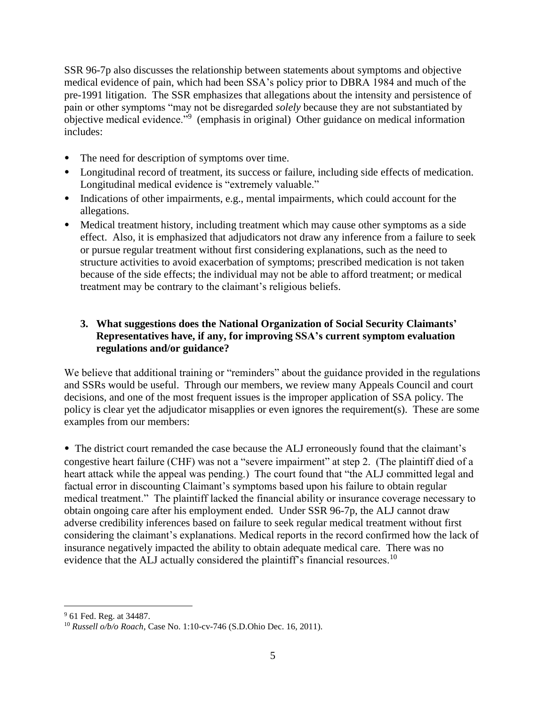SSR 96-7p also discusses the relationship between statements about symptoms and objective medical evidence of pain, which had been SSA's policy prior to DBRA 1984 and much of the pre-1991 litigation. The SSR emphasizes that allegations about the intensity and persistence of pain or other symptoms "may not be disregarded *solely* because they are not substantiated by objective medical evidence."<sup>9</sup> (emphasis in original) Other guidance on medical information includes:

- The need for description of symptoms over time.
- Longitudinal record of treatment, its success or failure, including side effects of medication. Longitudinal medical evidence is "extremely valuable."
- Indications of other impairments, e.g., mental impairments, which could account for the allegations.
- Medical treatment history, including treatment which may cause other symptoms as a side effect. Also, it is emphasized that adjudicators not draw any inference from a failure to seek or pursue regular treatment without first considering explanations, such as the need to structure activities to avoid exacerbation of symptoms; prescribed medication is not taken because of the side effects; the individual may not be able to afford treatment; or medical treatment may be contrary to the claimant's religious beliefs.

# **3. What suggestions does the National Organization of Social Security Claimants' Representatives have, if any, for improving SSA's current symptom evaluation regulations and/or guidance?**

We believe that additional training or "reminders" about the guidance provided in the regulations and SSRs would be useful. Through our members, we review many Appeals Council and court decisions, and one of the most frequent issues is the improper application of SSA policy. The policy is clear yet the adjudicator misapplies or even ignores the requirement(s). These are some examples from our members:

• The district court remanded the case because the ALJ erroneously found that the claimant's congestive heart failure (CHF) was not a "severe impairment" at step 2. (The plaintiff died of a heart attack while the appeal was pending.) The court found that "the ALJ committed legal and factual error in discounting Claimant's symptoms based upon his failure to obtain regular medical treatment." The plaintiff lacked the financial ability or insurance coverage necessary to obtain ongoing care after his employment ended. Under SSR 96-7p, the ALJ cannot draw adverse credibility inferences based on failure to seek regular medical treatment without first considering the claimant's explanations. Medical reports in the record confirmed how the lack of insurance negatively impacted the ability to obtain adequate medical care. There was no evidence that the ALJ actually considered the plaintiff's financial resources.<sup>10</sup>

<sup>9</sup> 61 Fed. Reg. at 34487.

<sup>10</sup> *Russell o/b/o Roach*, Case No. 1:10-cv-746 (S.D.Ohio Dec. 16, 2011).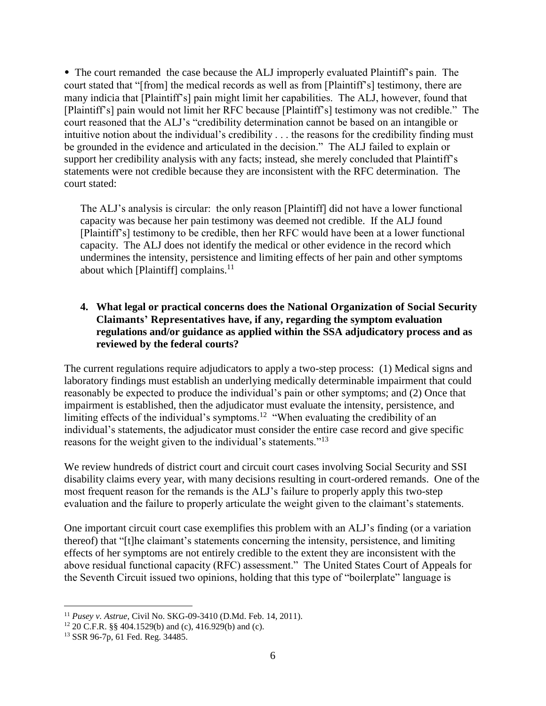• The court remanded the case because the ALJ improperly evaluated Plaintiff's pain. The court stated that "[from] the medical records as well as from [Plaintiff's] testimony, there are many indicia that [Plaintiff's] pain might limit her capabilities. The ALJ, however, found that [Plaintiff's] pain would not limit her RFC because [Plaintiff's] testimony was not credible." The court reasoned that the ALJ's "credibility determination cannot be based on an intangible or intuitive notion about the individual's credibility . . . the reasons for the credibility finding must be grounded in the evidence and articulated in the decision." The ALJ failed to explain or support her credibility analysis with any facts; instead, she merely concluded that Plaintiff's statements were not credible because they are inconsistent with the RFC determination. The court stated:

The ALJ's analysis is circular: the only reason [Plaintiff] did not have a lower functional capacity was because her pain testimony was deemed not credible. If the ALJ found [Plaintiff's] testimony to be credible, then her RFC would have been at a lower functional capacity. The ALJ does not identify the medical or other evidence in the record which undermines the intensity, persistence and limiting effects of her pain and other symptoms about which [Plaintiff] complains. $^{11}$ 

## **4. What legal or practical concerns does the National Organization of Social Security Claimants' Representatives have, if any, regarding the symptom evaluation regulations and/or guidance as applied within the SSA adjudicatory process and as reviewed by the federal courts?**

The current regulations require adjudicators to apply a two-step process: (1) Medical signs and laboratory findings must establish an underlying medically determinable impairment that could reasonably be expected to produce the individual's pain or other symptoms; and (2) Once that impairment is established, then the adjudicator must evaluate the intensity, persistence, and limiting effects of the individual's symptoms.<sup>12</sup> "When evaluating the credibility of an individual's statements, the adjudicator must consider the entire case record and give specific reasons for the weight given to the individual's statements."<sup>13</sup>

We review hundreds of district court and circuit court cases involving Social Security and SSI disability claims every year, with many decisions resulting in court-ordered remands. One of the most frequent reason for the remands is the ALJ's failure to properly apply this two-step evaluation and the failure to properly articulate the weight given to the claimant's statements.

One important circuit court case exemplifies this problem with an ALJ's finding (or a variation thereof) that "[t]he claimant's statements concerning the intensity, persistence, and limiting effects of her symptoms are not entirely credible to the extent they are inconsistent with the above residual functional capacity (RFC) assessment." The United States Court of Appeals for the Seventh Circuit issued two opinions, holding that this type of "boilerplate" language is

<sup>11</sup> *Pusey v. Astrue*, Civil No. SKG-09-3410 (D.Md. Feb. 14, 2011).

<sup>12</sup> 20 C.F.R. §§ 404.1529(b) and (c), 416.929(b) and (c).

<sup>13</sup> SSR 96-7p, 61 Fed. Reg. 34485.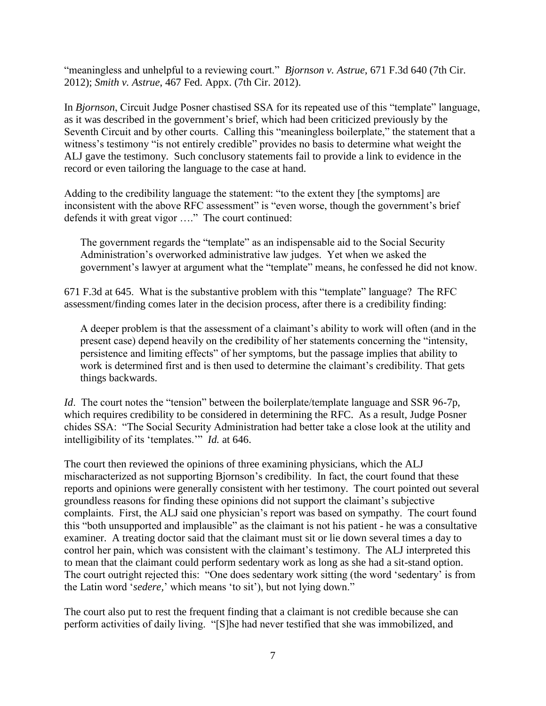"meaningless and unhelpful to a reviewing court." *Bjornson v. Astrue*, 671 F.3d 640 (7th Cir. 2012); *Smith v. Astrue*, 467 Fed. Appx. (7th Cir. 2012).

In *Bjornson*, Circuit Judge Posner chastised SSA for its repeated use of this "template" language, as it was described in the government's brief, which had been criticized previously by the Seventh Circuit and by other courts. Calling this "meaningless boilerplate," the statement that a witness's testimony "is not entirely credible" provides no basis to determine what weight the ALJ gave the testimony. Such conclusory statements fail to provide a link to evidence in the record or even tailoring the language to the case at hand.

Adding to the credibility language the statement: "to the extent they [the symptoms] are inconsistent with the above RFC assessment" is "even worse, though the government's brief defends it with great vigor …." The court continued:

The government regards the "template" as an indispensable aid to the Social Security Administration's overworked administrative law judges. Yet when we asked the government's lawyer at argument what the "template" means, he confessed he did not know.

671 F.3d at 645. What is the substantive problem with this "template" language? The RFC assessment/finding comes later in the decision process, after there is a credibility finding:

A deeper problem is that the assessment of a claimant's ability to work will often (and in the present case) depend heavily on the credibility of her statements concerning the "intensity, persistence and limiting effects" of her symptoms, but the passage implies that ability to work is determined first and is then used to determine the claimant's credibility. That gets things backwards.

*Id.* The court notes the "tension" between the boilerplate/template language and SSR 96-7p, which requires credibility to be considered in determining the RFC. As a result, Judge Posner chides SSA: "The Social Security Administration had better take a close look at the utility and intelligibility of its 'templates.'" *Id.* at 646.

The court then reviewed the opinions of three examining physicians, which the ALJ mischaracterized as not supporting Bjornson's credibility. In fact, the court found that these reports and opinions were generally consistent with her testimony. The court pointed out several groundless reasons for finding these opinions did not support the claimant's subjective complaints. First, the ALJ said one physician's report was based on sympathy. The court found this "both unsupported and implausible" as the claimant is not his patient - he was a consultative examiner. A treating doctor said that the claimant must sit or lie down several times a day to control her pain, which was consistent with the claimant's testimony. The ALJ interpreted this to mean that the claimant could perform sedentary work as long as she had a sit-stand option. The court outright rejected this: "One does sedentary work sitting (the word 'sedentary' is from the Latin word '*sedere,*' which means 'to sit'), but not lying down."

The court also put to rest the frequent finding that a claimant is not credible because she can perform activities of daily living. "[S]he had never testified that she was immobilized, and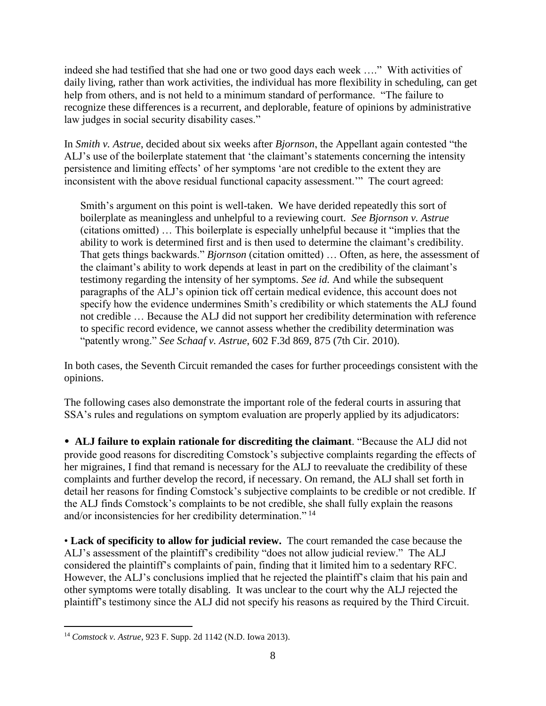indeed she had testified that she had one or two good days each week …." With activities of daily living, rather than work activities, the individual has more flexibility in scheduling, can get help from others, and is not held to a minimum standard of performance. "The failure to recognize these differences is a recurrent, and deplorable, feature of opinions by administrative law judges in social security disability cases."

In *Smith v. Astrue*, decided about six weeks after *Bjornson*, the Appellant again contested "the ALJ's use of the boilerplate statement that 'the claimant's statements concerning the intensity persistence and limiting effects' of her symptoms 'are not credible to the extent they are inconsistent with the above residual functional capacity assessment.'" The court agreed:

Smith's argument on this point is well-taken. We have derided repeatedly this sort of boilerplate as meaningless and unhelpful to a reviewing court. *See Bjornson v. Astrue*  (citations omitted) … This boilerplate is especially unhelpful because it "implies that the ability to work is determined first and is then used to determine the claimant's credibility. That gets things backwards." *Bjornson* (citation omitted) … Often, as here, the assessment of the claimant's ability to work depends at least in part on the credibility of the claimant's testimony regarding the intensity of her symptoms. *See id.* And while the subsequent paragraphs of the ALJ's opinion tick off certain medical evidence, this account does not specify how the evidence undermines Smith's credibility or which statements the ALJ found not credible … Because the ALJ did not support her credibility determination with reference to specific record evidence, we cannot assess whether the credibility determination was "patently wrong." *See Schaaf v. Astrue*, 602 F.3d 869, 875 (7th Cir. 2010).

In both cases, the Seventh Circuit remanded the cases for further proceedings consistent with the opinions.

The following cases also demonstrate the important role of the federal courts in assuring that SSA's rules and regulations on symptom evaluation are properly applied by its adjudicators:

• **ALJ failure to explain rationale for discrediting the claimant**. "Because the ALJ did not provide good reasons for discrediting Comstock's subjective complaints regarding the effects of her migraines, I find that remand is necessary for the ALJ to reevaluate the credibility of these complaints and further develop the record, if necessary. On remand, the ALJ shall set forth in detail her reasons for finding Comstock's subjective complaints to be credible or not credible. If the ALJ finds Comstock's complaints to be not credible, she shall fully explain the reasons and/or inconsistencies for her credibility determination." <sup>14</sup>

• **Lack of specificity to allow for judicial review.** The court remanded the case because the ALJ's assessment of the plaintiff's credibility "does not allow judicial review." The ALJ considered the plaintiff's complaints of pain, finding that it limited him to a sedentary RFC. However, the ALJ's conclusions implied that he rejected the plaintiff's claim that his pain and other symptoms were totally disabling. It was unclear to the court why the ALJ rejected the plaintiff's testimony since the ALJ did not specify his reasons as required by the Third Circuit.

 $\overline{a}$ <sup>14</sup> *Comstock v. Astrue*, 923 F. Supp. 2d 1142 (N.D. Iowa 2013).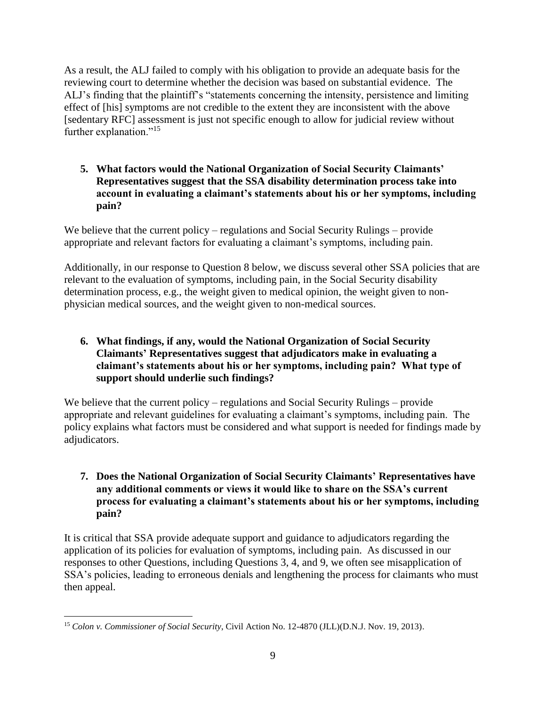As a result, the ALJ failed to comply with his obligation to provide an adequate basis for the reviewing court to determine whether the decision was based on substantial evidence. The ALJ's finding that the plaintiff's "statements concerning the intensity, persistence and limiting effect of [his] symptoms are not credible to the extent they are inconsistent with the above [sedentary RFC] assessment is just not specific enough to allow for judicial review without further explanation."<sup>15</sup>

**5. What factors would the National Organization of Social Security Claimants' Representatives suggest that the SSA disability determination process take into account in evaluating a claimant's statements about his or her symptoms, including pain?**

We believe that the current policy – regulations and Social Security Rulings – provide appropriate and relevant factors for evaluating a claimant's symptoms, including pain.

Additionally, in our response to Question 8 below, we discuss several other SSA policies that are relevant to the evaluation of symptoms, including pain, in the Social Security disability determination process, e.g., the weight given to medical opinion, the weight given to nonphysician medical sources, and the weight given to non-medical sources.

**6. What findings, if any, would the National Organization of Social Security Claimants' Representatives suggest that adjudicators make in evaluating a claimant's statements about his or her symptoms, including pain? What type of support should underlie such findings?**

We believe that the current policy – regulations and Social Security Rulings – provide appropriate and relevant guidelines for evaluating a claimant's symptoms, including pain. The policy explains what factors must be considered and what support is needed for findings made by adjudicators.

# **7. Does the National Organization of Social Security Claimants' Representatives have any additional comments or views it would like to share on the SSA's current process for evaluating a claimant's statements about his or her symptoms, including pain?**

It is critical that SSA provide adequate support and guidance to adjudicators regarding the application of its policies for evaluation of symptoms, including pain. As discussed in our responses to other Questions, including Questions 3, 4, and 9, we often see misapplication of SSA's policies, leading to erroneous denials and lengthening the process for claimants who must then appeal.

 $\overline{a}$ <sup>15</sup> *Colon v. Commissioner of Social Security*, Civil Action No. 12-4870 (JLL)(D.N.J. Nov. 19, 2013).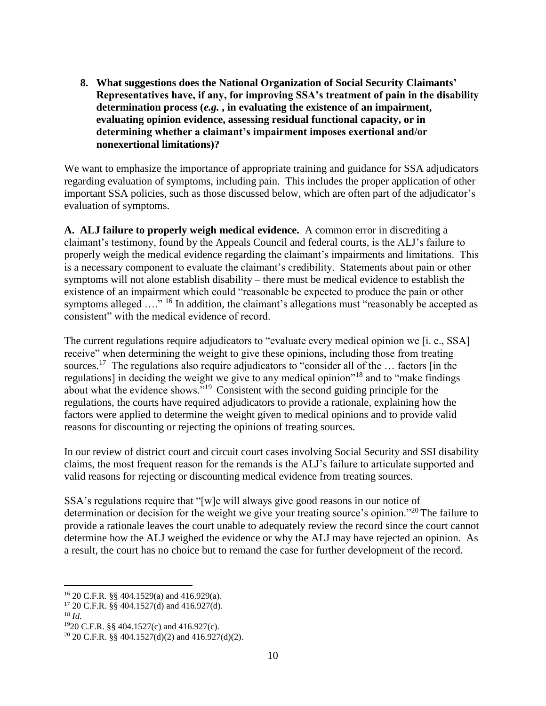**8. What suggestions does the National Organization of Social Security Claimants' Representatives have, if any, for improving SSA's treatment of pain in the disability determination process (***e.g.* **, in evaluating the existence of an impairment, evaluating opinion evidence, assessing residual functional capacity, or in determining whether a claimant's impairment imposes exertional and/or nonexertional limitations)?** 

We want to emphasize the importance of appropriate training and guidance for SSA adjudicators regarding evaluation of symptoms, including pain. This includes the proper application of other important SSA policies, such as those discussed below, which are often part of the adjudicator's evaluation of symptoms.

**A. ALJ failure to properly weigh medical evidence.** A common error in discrediting a claimant's testimony, found by the Appeals Council and federal courts, is the ALJ's failure to properly weigh the medical evidence regarding the claimant's impairments and limitations. This is a necessary component to evaluate the claimant's credibility. Statements about pain or other symptoms will not alone establish disability – there must be medical evidence to establish the existence of an impairment which could "reasonable be expected to produce the pain or other symptoms alleged ...."<sup>16</sup> In addition, the claimant's allegations must "reasonably be accepted as consistent" with the medical evidence of record.

The current regulations require adjudicators to "evaluate every medical opinion we [i. e., SSA] receive" when determining the weight to give these opinions, including those from treating sources.<sup>17</sup> The regulations also require adjudicators to "consider all of the ... factors [in the regulations] in deciding the weight we give to any medical opinion"<sup>18</sup> and to "make findings about what the evidence shows."<sup>19</sup> Consistent with the second guiding principle for the regulations, the courts have required adjudicators to provide a rationale, explaining how the factors were applied to determine the weight given to medical opinions and to provide valid reasons for discounting or rejecting the opinions of treating sources.

In our review of district court and circuit court cases involving Social Security and SSI disability claims, the most frequent reason for the remands is the ALJ's failure to articulate supported and valid reasons for rejecting or discounting medical evidence from treating sources.

SSA's regulations require that "[w]e will always give good reasons in our notice of determination or decision for the weight we give your treating source's opinion."<sup>20</sup> The failure to provide a rationale leaves the court unable to adequately review the record since the court cannot determine how the ALJ weighed the evidence or why the ALJ may have rejected an opinion. As a result, the court has no choice but to remand the case for further development of the record.

<sup>16</sup> 20 C.F.R. §§ 404.1529(a) and 416.929(a).

 $17$  20 C.F.R. §§ 404.1527(d) and 416.927(d).

<sup>18</sup> *Id.*

<sup>19</sup>20 C.F.R. §§ 404.1527(c) and 416.927(c).

<sup>&</sup>lt;sup>20</sup> 20 C.F.R. §§ 404.1527(d)(2) and 416.927(d)(2).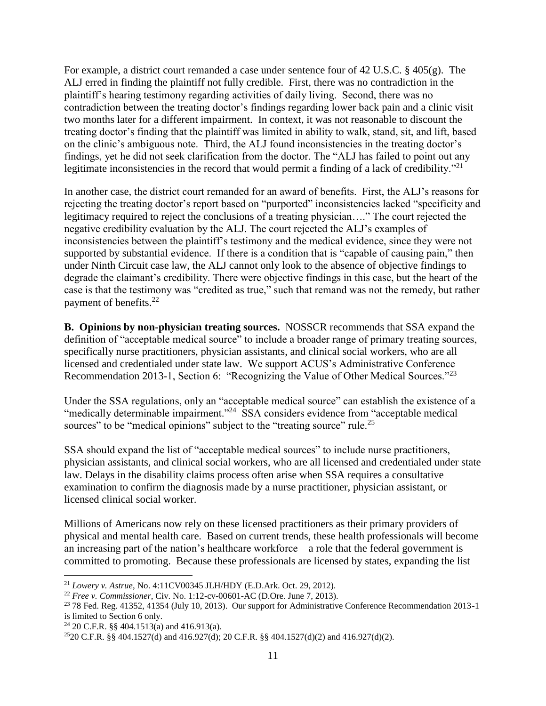For example, a district court remanded a case under sentence four of 42 U.S.C. § 405(g). The ALJ erred in finding the plaintiff not fully credible. First, there was no contradiction in the plaintiff's hearing testimony regarding activities of daily living. Second, there was no contradiction between the treating doctor's findings regarding lower back pain and a clinic visit two months later for a different impairment. In context, it was not reasonable to discount the treating doctor's finding that the plaintiff was limited in ability to walk, stand, sit, and lift, based on the clinic's ambiguous note. Third, the ALJ found inconsistencies in the treating doctor's findings, yet he did not seek clarification from the doctor. The "ALJ has failed to point out any legitimate inconsistencies in the record that would permit a finding of a lack of credibility."<sup>21</sup>

In another case, the district court remanded for an award of benefits. First, the ALJ's reasons for rejecting the treating doctor's report based on "purported" inconsistencies lacked "specificity and legitimacy required to reject the conclusions of a treating physician…." The court rejected the negative credibility evaluation by the ALJ. The court rejected the ALJ's examples of inconsistencies between the plaintiff's testimony and the medical evidence, since they were not supported by substantial evidence. If there is a condition that is "capable of causing pain," then under Ninth Circuit case law, the ALJ cannot only look to the absence of objective findings to degrade the claimant's credibility. There were objective findings in this case, but the heart of the case is that the testimony was "credited as true," such that remand was not the remedy, but rather payment of benefits.<sup>22</sup>

**B. Opinions by non-physician treating sources.** NOSSCR recommends that SSA expand the definition of "acceptable medical source" to include a broader range of primary treating sources, specifically nurse practitioners, physician assistants, and clinical social workers, who are all licensed and credentialed under state law. We support ACUS's Administrative Conference Recommendation 2013-1, Section 6: "Recognizing the Value of Other Medical Sources."<sup>23</sup>

Under the SSA regulations, only an "acceptable medical source" can establish the existence of a "medically determinable impairment."<sup>24</sup> SSA considers evidence from "acceptable medical sources" to be "medical opinions" subject to the "treating source" rule.<sup>25</sup>

SSA should expand the list of "acceptable medical sources" to include nurse practitioners, physician assistants, and clinical social workers, who are all licensed and credentialed under state law. Delays in the disability claims process often arise when SSA requires a consultative examination to confirm the diagnosis made by a nurse practitioner, physician assistant, or licensed clinical social worker.

Millions of Americans now rely on these licensed practitioners as their primary providers of physical and mental health care. Based on current trends, these health professionals will become an increasing part of the nation's healthcare workforce  $-$  a role that the federal government is committed to promoting. Because these professionals are licensed by states, expanding the list

<sup>21</sup> *Lowery v. Astrue*, No. 4:11CV00345 JLH/HDY (E.D.Ark. Oct. 29, 2012).

<sup>22</sup> *Free v. Commissioner*, Civ. No. 1:12-cv-00601-AC (D.Ore. June 7, 2013).

<sup>23</sup> 78 Fed. Reg. 41352, 41354 (July 10, 2013). Our support for Administrative Conference Recommendation 2013-1 is limited to Section 6 only.

<sup>&</sup>lt;sup>24</sup> 20 C.F.R. §§ 404.1513(a) and 416.913(a).

<sup>&</sup>lt;sup>25</sup>20 C.F.R. §§ 404.1527(d) and 416.927(d); 20 C.F.R. §§ 404.1527(d)(2) and 416.927(d)(2).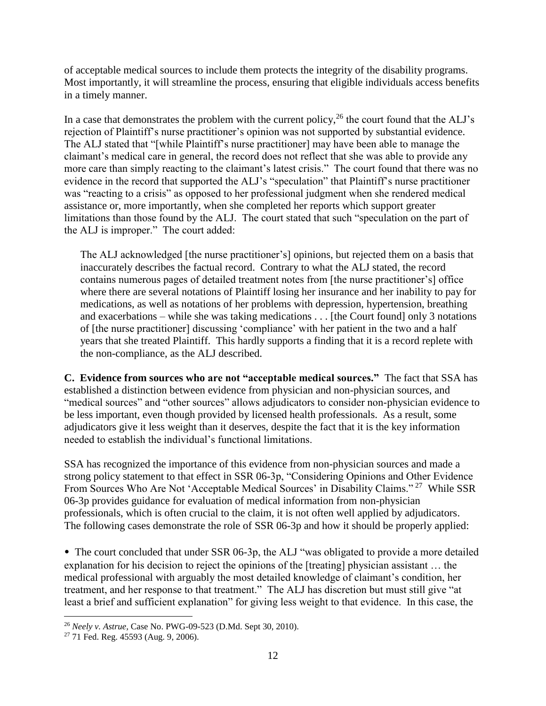of acceptable medical sources to include them protects the integrity of the disability programs. Most importantly, it will streamline the process, ensuring that eligible individuals access benefits in a timely manner.

In a case that demonstrates the problem with the current policy,  $^{26}$  the court found that the ALJ's rejection of Plaintiff's nurse practitioner's opinion was not supported by substantial evidence. The ALJ stated that "[while Plaintiff's nurse practitioner] may have been able to manage the claimant's medical care in general, the record does not reflect that she was able to provide any more care than simply reacting to the claimant's latest crisis." The court found that there was no evidence in the record that supported the ALJ's "speculation" that Plaintiff's nurse practitioner was "reacting to a crisis" as opposed to her professional judgment when she rendered medical assistance or, more importantly, when she completed her reports which support greater limitations than those found by the ALJ. The court stated that such "speculation on the part of the ALJ is improper." The court added:

The ALJ acknowledged [the nurse practitioner's] opinions, but rejected them on a basis that inaccurately describes the factual record. Contrary to what the ALJ stated, the record contains numerous pages of detailed treatment notes from [the nurse practitioner's] office where there are several notations of Plaintiff losing her insurance and her inability to pay for medications, as well as notations of her problems with depression, hypertension, breathing and exacerbations – while she was taking medications . . . [the Court found] only 3 notations of [the nurse practitioner] discussing 'compliance' with her patient in the two and a half years that she treated Plaintiff. This hardly supports a finding that it is a record replete with the non-compliance, as the ALJ described.

**C. Evidence from sources who are not "acceptable medical sources."** The fact that SSA has established a distinction between evidence from physician and non-physician sources, and "medical sources" and "other sources" allows adjudicators to consider non-physician evidence to be less important, even though provided by licensed health professionals. As a result, some adjudicators give it less weight than it deserves, despite the fact that it is the key information needed to establish the individual's functional limitations.

SSA has recognized the importance of this evidence from non-physician sources and made a strong policy statement to that effect in SSR 06-3p, "Considering Opinions and Other Evidence From Sources Who Are Not 'Acceptable Medical Sources' in Disability Claims."<sup>27</sup> While SSR 06-3p provides guidance for evaluation of medical information from non-physician professionals, which is often crucial to the claim, it is not often well applied by adjudicators. The following cases demonstrate the role of SSR 06-3p and how it should be properly applied:

• The court concluded that under SSR 06-3p, the ALJ "was obligated to provide a more detailed explanation for his decision to reject the opinions of the [treating] physician assistant … the medical professional with arguably the most detailed knowledge of claimant's condition, her treatment, and her response to that treatment." The ALJ has discretion but must still give "at least a brief and sufficient explanation" for giving less weight to that evidence. In this case, the

<sup>26</sup> *Neely v. Astrue,* Case No. PWG-09-523 (D.Md. Sept 30, 2010).

<sup>27</sup> 71 Fed. Reg. 45593 (Aug. 9, 2006).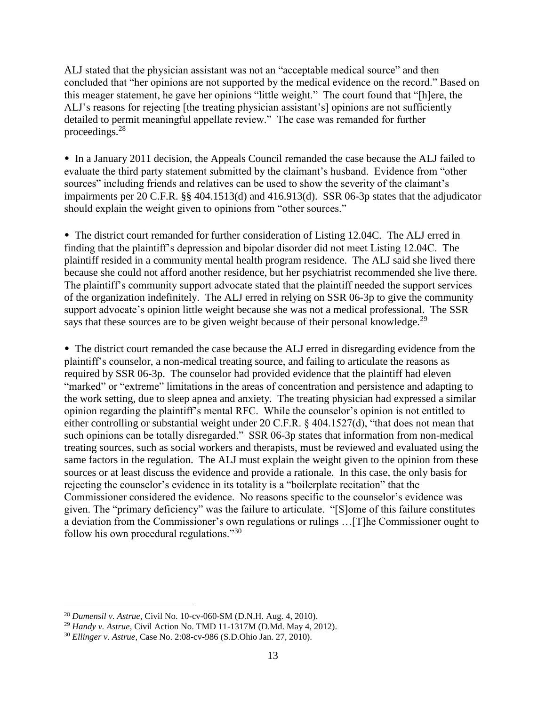ALJ stated that the physician assistant was not an "acceptable medical source" and then concluded that "her opinions are not supported by the medical evidence on the record." Based on this meager statement, he gave her opinions "little weight." The court found that "[h]ere, the ALJ's reasons for rejecting [the treating physician assistant's] opinions are not sufficiently detailed to permit meaningful appellate review." The case was remanded for further proceedings.<sup>28</sup>

• In a January 2011 decision, the Appeals Council remanded the case because the ALJ failed to evaluate the third party statement submitted by the claimant's husband. Evidence from "other sources" including friends and relatives can be used to show the severity of the claimant's impairments per 20 C.F.R. §§ 404.1513(d) and 416.913(d). SSR 06-3p states that the adjudicator should explain the weight given to opinions from "other sources."

• The district court remanded for further consideration of Listing 12.04C. The ALJ erred in finding that the plaintiff's depression and bipolar disorder did not meet Listing 12.04C. The plaintiff resided in a community mental health program residence. The ALJ said she lived there because she could not afford another residence, but her psychiatrist recommended she live there. The plaintiff's community support advocate stated that the plaintiff needed the support services of the organization indefinitely. The ALJ erred in relying on SSR 06-3p to give the community support advocate's opinion little weight because she was not a medical professional. The SSR says that these sources are to be given weight because of their personal knowledge.<sup>29</sup>

• The district court remanded the case because the ALJ erred in disregarding evidence from the plaintiff's counselor, a non-medical treating source, and failing to articulate the reasons as required by SSR 06-3p. The counselor had provided evidence that the plaintiff had eleven "marked" or "extreme" limitations in the areas of concentration and persistence and adapting to the work setting, due to sleep apnea and anxiety. The treating physician had expressed a similar opinion regarding the plaintiff's mental RFC. While the counselor's opinion is not entitled to either controlling or substantial weight under 20 C.F.R. § 404.1527(d), "that does not mean that such opinions can be totally disregarded." SSR 06-3p states that information from non-medical treating sources, such as social workers and therapists, must be reviewed and evaluated using the same factors in the regulation. The ALJ must explain the weight given to the opinion from these sources or at least discuss the evidence and provide a rationale. In this case, the only basis for rejecting the counselor's evidence in its totality is a "boilerplate recitation" that the Commissioner considered the evidence. No reasons specific to the counselor's evidence was given. The "primary deficiency" was the failure to articulate. "[S]ome of this failure constitutes a deviation from the Commissioner's own regulations or rulings …[T]he Commissioner ought to follow his own procedural regulations."<sup>30</sup>

<sup>28</sup> *Dumensil v. Astrue*, Civil No. 10-cv-060-SM (D.N.H. Aug. 4, 2010).

<sup>29</sup> *Handy v. Astrue*, Civil Action No. TMD 11-1317M (D.Md. May 4, 2012).

<sup>30</sup> *Ellinger v. Astrue*, Case No. 2:08-cv-986 (S.D.Ohio Jan. 27, 2010).